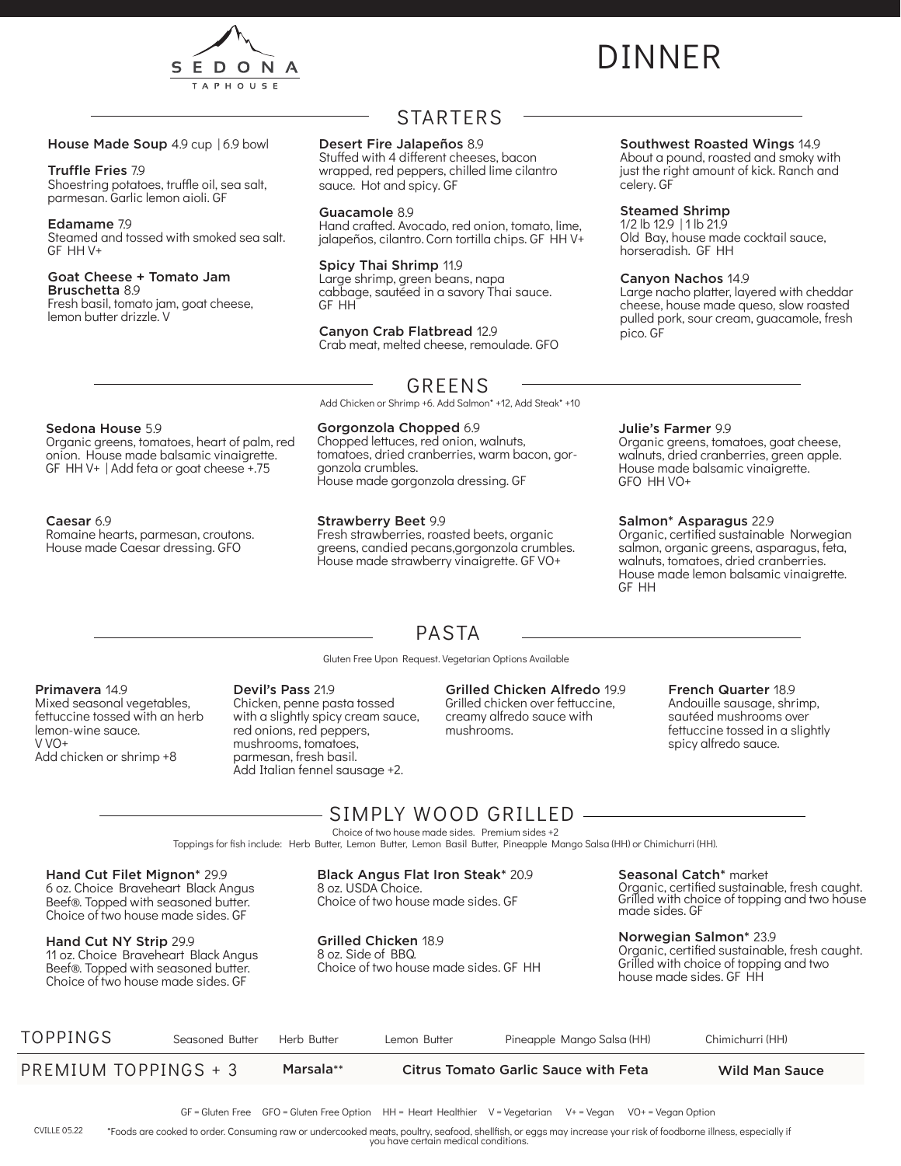

# DINNER

#### House Made Soup 4.9 cup | 6.9 bowl

#### Truffle Fries 7.9

Shoestring potatoes, truffle oil, sea salt, parmesan. Garlic lemon aioli. GF

#### Edamame 7.9

Steamed and tossed with smoked sea salt. GF HH V+

#### Goat Cheese + Tomato Jam Bruschetta 8.9

Fresh basil, tomato jam, goat cheese, lemon butter drizzle. V

### STARTERS

#### Desert Fire Jalapeños 8.9

Stuffed with 4 different cheeses, bacon wrapped, red peppers, chilled lime cilantro sauce. Hot and spicy. GF

#### Guacamole 8.9

Hand crafted. Avocado, red onion, tomato, lime, jalapeños, cilantro. Corn tortilla chips. GF HH V+

#### Spicy Thai Shrimp 11.9

Large shrimp, green beans, napa cabbage, sautéed in a savory Thai sauce. GF HH

#### Canyon Crab Flatbread 12.9

Gorgonzola Chopped 6.9 Chopped lettuces, red onion, walnuts, tomatoes, dried cranberries, warm bacon, gor-

House made gorgonzola dressing. GF

Crab meat, melted cheese, remoulade. GFO

### GREENS

Add Chicken or Shrimp +6. Add Salmon\* +12, Add Steak\* +10

#### Sedona House 5.9

Organic greens, tomatoes, heart of palm, red onion. House made balsamic vinaigrette. GF HH V+ | Add feta or goat cheese +.75

#### Caesar 6.9

Romaine hearts, parmesan, croutons. House made Caesar dressing. GFO

gonzola crumbles.

Strawberry Beet 9.9 Fresh strawberries, roasted beets, organic greens, candied pecans,gorgonzola crumbles. House made strawberry vinaigrette. GF VO+

#### Southwest Roasted Wings 14.9

About a pound, roasted and smoky with just the right amount of kick. Ranch and celery. GF

#### Steamed Shrimp

1/2 lb 12.9 | 1 lb 21.9 Old Bay, house made cocktail sauce, horseradish. GF HH

#### Canyon Nachos 14.9

Large nacho platter, layered with cheddar cheese, house made queso, slow roasted pulled pork, sour cream, guacamole, fresh pico. GF

#### Julie's Farmer 9.9

Organic greens, tomatoes, goat cheese, walnuts, dried cranberries, green apple. House made balsamic vinaigrette. GFO HH VO+

#### Salmon\* Asparagus 22.9

Organic, certified sustainable Norwegian salmon, organic greens, asparagus, feta, walnuts, tomatoes, dried cranberries. House made lemon balsamic vinaigrette. GF HH

### PASTA

Gluten Free Upon Request. Vegetarian Options Available

#### Primavera 14.9

Mixed seasonal vegetables, fettuccine tossed with an herb lemon-wine sauce.  $V$  $V$  $+$ Add chicken or shrimp +8

#### Devil's Pass 21.9

Chicken, penne pasta tossed with a slightly spicy cream sauce, red onions, red peppers, mushrooms, tomatoes, parmesan, fresh basil. Add Italian fennel sausage +2.

#### Grilled Chicken Alfredo 19.9

Grilled chicken over fettuccine, creamy alfredo sauce with mushrooms.

#### French Quarter 18.9

Andouille sausage, shrimp, sautéed mushrooms over fettuccine tossed in a slightly spicy alfredo sauce.

### SIMPLY WOOD GRILLED

Choice of two house made sides. Premium sides +2

Toppings for fish include: Herb Butter, Lemon Butter, Lemon Basil Butter, Pineapple Mango Salsa (HH) or Chimichurri (HH).

Hand Cut Filet Mignon\* 29.9 6 oz. Choice Braveheart Black Angus Beef®. Topped with seasoned butter. Choice of two house made sides. GF

Hand Cut NY Strip 29.9 11 oz. Choice Braveheart Black Angus Beef®. Topped with seasoned butter. Choice of two house made sides. GF

Black Angus Flat Iron Steak\* 20.9 8 oz. USDA Choice.

Choice of two house made sides. GF

Grilled Chicken 18.9 8 oz. Side of BBQ. Choice of two house made sides. GF HH Seasonal Catch\* market Organic, certified sustainable, fresh caught. Grilled with choice of topping and two house made sides. GF

Norwegian Salmon\* 23.9 Organic, certified sustainable, fresh caught. Grilled with choice of topping and two house made sides. GF HH

| PREMIUM TOPPINGS + 3 |                 | Marsala**   |              | Citrus Tomato Garlic Sauce with Feta | <b>Wild Man Sauce</b> |
|----------------------|-----------------|-------------|--------------|--------------------------------------|-----------------------|
| <b>TOPPINGS</b>      | Seasoned Butter | Herb Butter | Lemon Butter | Pineapple Mango Salsa (HH)           | Chimichurri (HH)      |

\*Foods are cooked to order. Consuming raw or undercooked meats, poultry, seafood, shellfish, or eggs may increase your risk of foodborne illness, especially if you have certain medical conditions. CVILLE 05.22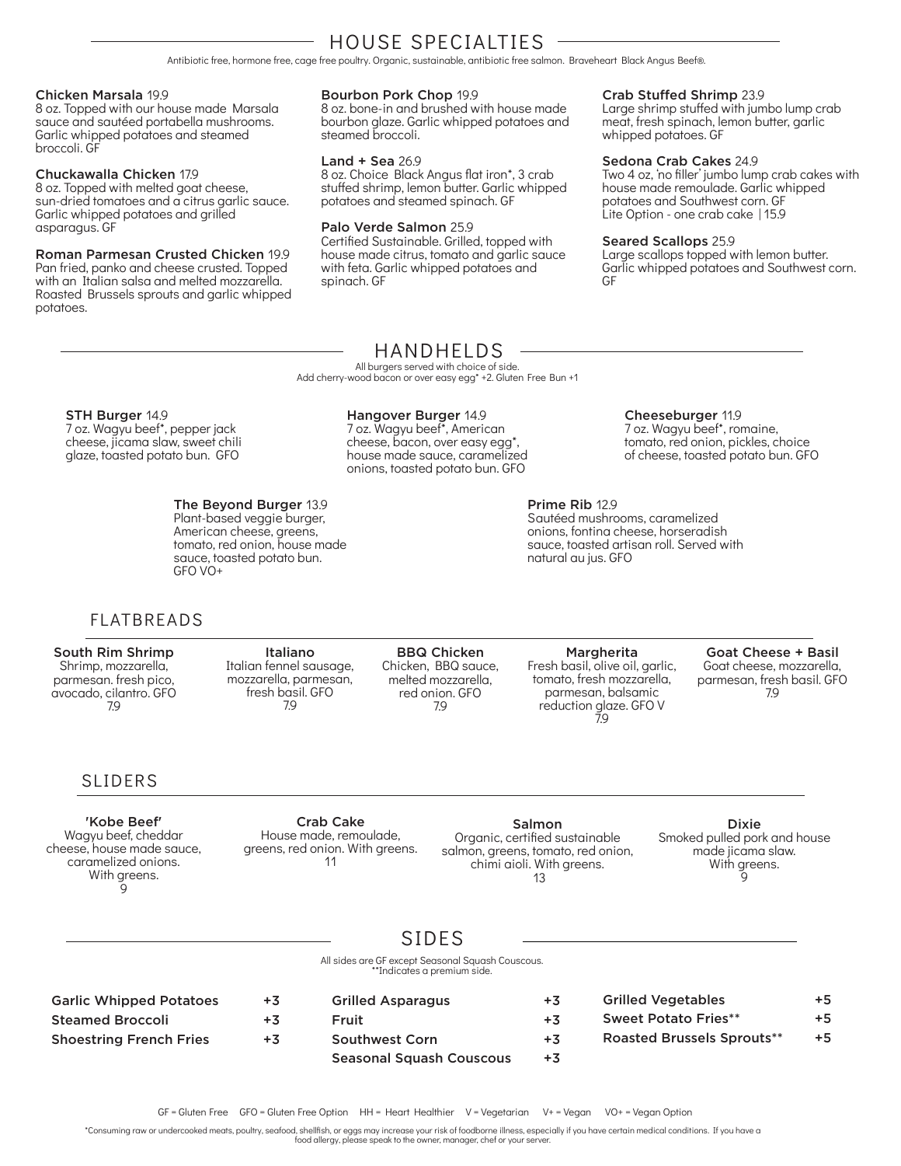### HOUSE SPECIALTIES

Antibiotic free, hormone free, cage free poultry. Organic, sustainable, antibiotic free salmon. Braveheart Black Angus Beef®.

#### Chicken Marsala 19.9

8 oz. Topped with our house made Marsala sauce and sautéed portabella mushrooms. Garlic whipped potatoes and steamed broccoli. GF

#### Chuckawalla Chicken 17.9

8 oz. Topped with melted goat cheese, sun-dried tomatoes and a citrus garlic sauce. Garlic whipped potatoes and grilled asparagus. GF

#### Roman Parmesan Crusted Chicken 19.9

Pan fried, panko and cheese crusted. Topped with an Italian salsa and melted mozzarella. Roasted Brussels sprouts and garlic whipped potatoes.

#### Bourbon Pork Chop 19.9

8 oz. bone-in and brushed with house made bourbon glaze. Garlic whipped potatoes and steamed broccoli.

#### Land + Sea 26.9

8 oz. Choice Black Angus flat iron\*, 3 crab stuffed shrimp, lemon butter. Garlic whipped potatoes and steamed spinach. GF

#### Palo Verde Salmon 25.9

Certified Sustainable. Grilled, topped with house made citrus, tomato and garlic sauce with feta. Garlic whipped potatoes and spinach. GF

#### Crab Stuffed Shrimp 23.9

Large shrimp stuffed with jumbo lump crab meat, fresh spinach, lemon butter, garlic whipped potatoes. GF

#### Sedona Crab Cakes 24.9

Two 4 oz, 'no filler' jumbo lump crab cakes with house made remoulade. Garlic whipped potatoes and Southwest corn. GF Lite Option - one crab cake | 15.9

#### Seared Scallops 25.9

Large scallops topped with lemon butter. Garlic whipped potatoes and Southwest corn. GF

### HANDHELDS

All burgers served with choice of side. Add cherry-wood bacon or over easy egg\* +2. Gluten Free Bun +1

#### STH Burger 14.9

7 oz. Wagyu beef\*, pepper jack cheese, jicama slaw, sweet chili glaze, toasted potato bun. GFO

#### The Beyond Burger 13.9

Plant-based veggie burger, American cheese, greens, tomato, red onion, house made sauce, toasted potato bun. GFO VO+

#### Hangover Burger 14.9

7 oz. Wagyu beef\*, American cheese, bacon, over easy egg\*, house made sauce, caramelized onions, toasted potato bun. GFO

#### Cheeseburger 11.9

7 oz. Wagyu beef\*, romaine, tomato, red onion, pickles, choice of cheese, toasted potato bun. GFO

#### Prime Rib 12.9

Sautéed mushrooms, caramelized onions, fontina cheese, horseradish sauce, toasted artisan roll. Served with natural au jus. GFO

### FLATBREADS

#### South Rim Shrimp Shrimp, mozzarella, parmesan. fresh pico, avocado, cilantro. GFO 7.9

Italiano Italian fennel sausage, mozzarella, parmesan, fresh basil. GFO 7.9

BBQ Chicken Chicken, BBQ sauce, melted mozzarella, red onion. GFO 7.9

Margherita Fresh basil, olive oil, garlic, tomato, fresh mozzarella, parmesan, balsamic reduction glaze. GFO V 7.9

Goat Cheese + Basil Goat cheese, mozzarella, parmesan, fresh basil. GFO 7.9

### SLIDERS

'Kobe Beef' Wagyu beef, cheddar cheese, house made sauce, caramelized onions. With greens. 9

Crab Cake House made, remoulade, greens, red onion. With greens. 11

Salmon Organic, certified sustainable salmon, greens, tomato, red onion, chimi aioli. With greens. 13

Dixie Smoked pulled pork and house made jicama slaw. With greens. g

### SIDES

All sides are GF except Seasonal Squash Couscous. \*\*Indicates a premium side.

| $+3$ | <b>Grilled Asparagus</b>        | $+3$ | <b>Grilled Vegetables</b>         | $+5$ |
|------|---------------------------------|------|-----------------------------------|------|
| $+3$ | Fruit                           | $+3$ | <b>Sweet Potato Fries**</b>       | $+5$ |
| $+3$ | <b>Southwest Corn</b>           | $+3$ | <b>Roasted Brussels Sprouts**</b> | $+5$ |
|      | <b>Seasonal Squash Couscous</b> | $+3$ |                                   |      |
|      |                                 |      |                                   |      |

\*Consuming raw or undercooked meats, poultry, seafood, shellfish, or eggs may increase your risk of foodborne illness, especially if you have certain medical conditions. If you have a

food allergy, please speak to the owner, manager, chef or your server.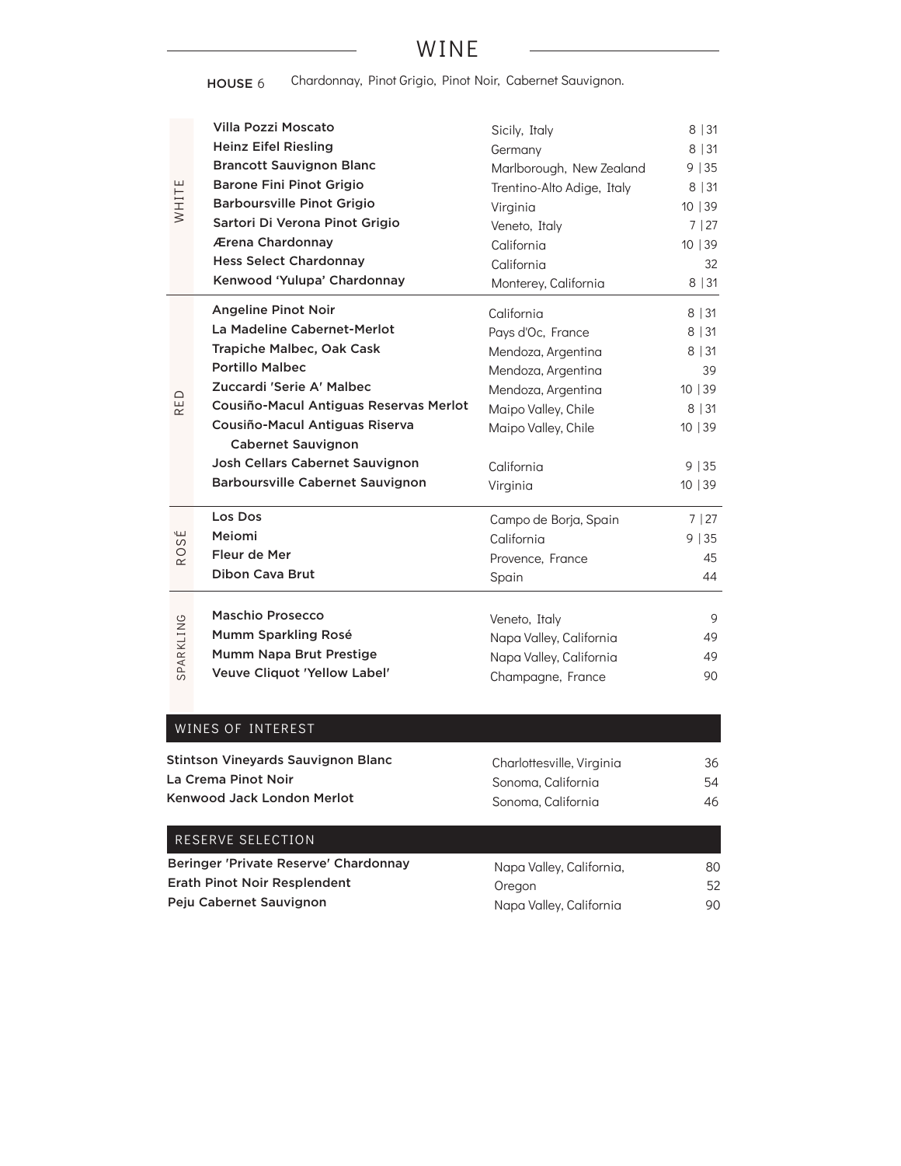### WINE

HOUSE 6 Chardonnay, Pinot Grigio, Pinot Noir, Cabernet Sauvignon.

| WHITE                    | Villa Pozzi Moscato<br><b>Heinz Eifel Riesling</b><br><b>Brancott Sauvignon Blanc</b><br><b>Barone Fini Pinot Grigio</b><br><b>Barboursville Pinot Grigio</b><br>Sartori Di Verona Pinot Grigio<br>Ærena Chardonnay<br><b>Hess Select Chardonnay</b><br>Kenwood 'Yulupa' Chardonnay                                                  | Sicily, Italy<br>Germany<br>Marlborough, New Zealand<br>Trentino-Alto Adige, Italy<br>Virginia<br>Veneto, Italy<br>California<br>California<br>Monterey, California       | 8 31<br>8   31<br>9 35<br>8   31<br>10   39<br>7 27<br>10   39<br>32<br>8 31            |
|--------------------------|--------------------------------------------------------------------------------------------------------------------------------------------------------------------------------------------------------------------------------------------------------------------------------------------------------------------------------------|---------------------------------------------------------------------------------------------------------------------------------------------------------------------------|-----------------------------------------------------------------------------------------|
| RED                      | <b>Angeline Pinot Noir</b><br>La Madeline Cabernet-Merlot<br>Trapiche Malbec, Oak Cask<br><b>Portillo Malbec</b><br>Zuccardi 'Serie A' Malbec<br>Cousiño-Macul Antiguas Reservas Merlot<br>Cousiño-Macul Antiguas Riserva<br><b>Cabernet Sauvignon</b><br>Josh Cellars Cabernet Sauvignon<br><b>Barboursville Cabernet Sauvignon</b> | California<br>Pays d'Oc, France<br>Mendoza, Argentina<br>Mendoza, Argentina<br>Mendoza, Argentina<br>Maipo Valley, Chile<br>Maipo Valley, Chile<br>California<br>Virginia | $8 \mid 31$<br>8 31<br>$8 \mid 31$<br>39<br>10   39<br>8 31<br>10 39<br>9 35<br>10   39 |
| É<br>S<br>R <sup>O</sup> | Los Dos<br>Meiomi<br>Fleur de Mer<br><b>Dibon Cava Brut</b>                                                                                                                                                                                                                                                                          | Campo de Borja, Spain<br>California<br>Provence, France<br>Spain                                                                                                          | 7 27<br>9 35<br>45<br>44                                                                |
| SPARKLING                | Maschio Prosecco<br>Mumm Sparkling Rosé<br>Mumm Napa Brut Prestige<br><b>Veuve Cliquot 'Yellow Label'</b>                                                                                                                                                                                                                            | Veneto, Italy<br>Napa Valley, California<br>Napa Valley, California<br>Champagne, France                                                                                  | 9<br>49<br>49<br>90                                                                     |
|                          | WINES OF INTEREST<br>Stintson Vineyards Sauvignon Blanc<br>La Crema Pinot Noir                                                                                                                                                                                                                                                       | Charlottesville, Virginia<br>Sonoma, California                                                                                                                           | 36<br>54                                                                                |

| La Crema Pinot Noir        | Sonoma, California |
|----------------------------|--------------------|
| Kenwood Jack London Merlot | Sonoma. California |

46

 $\sim$ 

| RESERVE SELECTION                     |                          |     |
|---------------------------------------|--------------------------|-----|
| Beringer 'Private Reserve' Chardonnay | Napa Valley, California, | 80. |
| Erath Pinot Noir Resplendent          | Oregon                   | 52  |
| Peju Cabernet Sauvignon               | Napa Valley, California  | 90. |